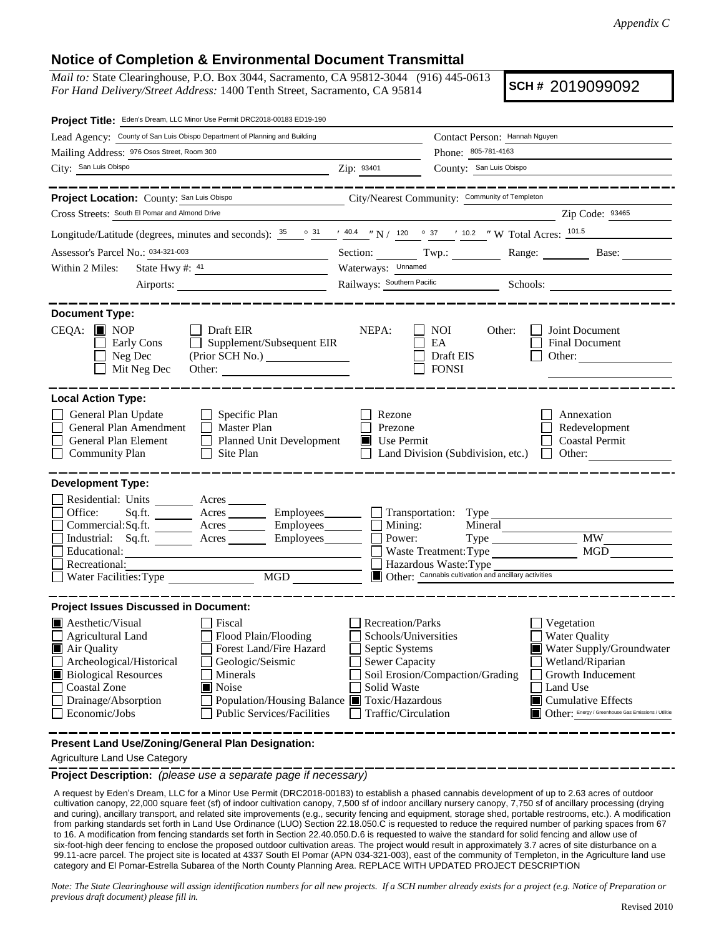## **Notice of Completion & Environmental Document Transmittal**

*Mail to:* State Clearinghouse, P.O. Box 3044, Sacramento, CA 95812-3044 (916) 445-0613 *For Hand Delivery/Street Address:* 1400 Tenth Street, Sacramento, CA 95814

**SCH #** 2019099092

| Project Title: Eden's Dream, LLC Minor Use Permit DRC2018-00183 ED19-190                                                                                                                                                                                                                                                                                                                               |                                                                                                                           |                                                                                                                   |                                                                                                                                                                                                           |
|--------------------------------------------------------------------------------------------------------------------------------------------------------------------------------------------------------------------------------------------------------------------------------------------------------------------------------------------------------------------------------------------------------|---------------------------------------------------------------------------------------------------------------------------|-------------------------------------------------------------------------------------------------------------------|-----------------------------------------------------------------------------------------------------------------------------------------------------------------------------------------------------------|
| Lead Agency: County of San Luis Obispo Department of Planning and Building                                                                                                                                                                                                                                                                                                                             |                                                                                                                           | Contact Person: Hannah Nguyen                                                                                     |                                                                                                                                                                                                           |
| Mailing Address: 976 Osos Street, Room 300                                                                                                                                                                                                                                                                                                                                                             |                                                                                                                           | Phone: 805-781-4163                                                                                               |                                                                                                                                                                                                           |
| City: San Luis Obispo                                                                                                                                                                                                                                                                                                                                                                                  | Zip: 93401                                                                                                                | County: San Luis Obispo                                                                                           |                                                                                                                                                                                                           |
| ________                                                                                                                                                                                                                                                                                                                                                                                               |                                                                                                                           |                                                                                                                   |                                                                                                                                                                                                           |
| Project Location: County: San Luis Obispo                                                                                                                                                                                                                                                                                                                                                              |                                                                                                                           | City/Nearest Community: Community of Templeton                                                                    |                                                                                                                                                                                                           |
| Cross Streets: South El Pomar and Almond Drive                                                                                                                                                                                                                                                                                                                                                         |                                                                                                                           |                                                                                                                   | Zip Code: 93465                                                                                                                                                                                           |
| Longitude/Latitude (degrees, minutes and seconds): $\frac{35}{25}$ $\frac{31}{25}$ $\frac{40.4}{25}$ $\frac{10.2}{25}$ $\frac{37}{25}$ $\frac{10.2}{25}$ $\frac{10.2}{25}$ W Total Acres: $\frac{101.5}{25}$                                                                                                                                                                                           |                                                                                                                           |                                                                                                                   |                                                                                                                                                                                                           |
| Assessor's Parcel No.: 034-321-003<br><u> 1980 - Johann Barbara, martin a</u>                                                                                                                                                                                                                                                                                                                          |                                                                                                                           |                                                                                                                   | Section: Twp.: Range: Base:                                                                                                                                                                               |
| State Hwy #: $41$<br>Within 2 Miles:                                                                                                                                                                                                                                                                                                                                                                   | Waterways: Unnamed                                                                                                        |                                                                                                                   |                                                                                                                                                                                                           |
| Airports:                                                                                                                                                                                                                                                                                                                                                                                              |                                                                                                                           |                                                                                                                   |                                                                                                                                                                                                           |
|                                                                                                                                                                                                                                                                                                                                                                                                        |                                                                                                                           |                                                                                                                   |                                                                                                                                                                                                           |
| <b>Document Type:</b><br>$CEQA:$ MOP<br>Draft EIR<br>Supplement/Subsequent EIR<br>Early Cons<br>Neg Dec<br>Mit Neg Dec<br>Other:                                                                                                                                                                                                                                                                       | NEPA:                                                                                                                     | <b>NOI</b><br>Other:<br>EA<br>Draft EIS<br><b>FONSI</b>                                                           | Joint Document<br><b>Final Document</b><br>Other: $\qquad \qquad$                                                                                                                                         |
| <b>Local Action Type:</b><br>General Plan Update<br>$\Box$ Specific Plan<br>General Plan Amendment<br>$\Box$ Master Plan<br>General Plan Element<br>Planned Unit Development<br><b>Community Plan</b><br>Site Plan                                                                                                                                                                                     | Rezone<br>Prezone<br>Use Permit<br>П                                                                                      | Land Division (Subdivision, etc.)                                                                                 | Annexation<br>Redevelopment<br><b>Coastal Permit</b><br>Other:<br>$\mathbf{L}$                                                                                                                            |
| <b>Development Type:</b>                                                                                                                                                                                                                                                                                                                                                                               |                                                                                                                           |                                                                                                                   |                                                                                                                                                                                                           |
| Residential: Units ________ Acres _______<br>Office:<br>Sq.ft. ________ Acres _________ Employees _______ __ Transportation: Type _______<br>Commercial:Sq.ft. ________ Acres _________ Employees________ $\Box$<br>Acres Employees <u>Depart</u><br>Industrial: Sq.ft.<br>Educational:<br>Recreational:<br>Water Facilities: Type                                                                     | Mining:<br>Power:                                                                                                         | Mineral<br>Waste Treatment: Type<br>Hazardous Waste: Type<br>Other: Cannabis cultivation and ancillary activities | <b>MW</b><br>MGD                                                                                                                                                                                          |
| <b>Project Issues Discussed in Document:</b>                                                                                                                                                                                                                                                                                                                                                           |                                                                                                                           |                                                                                                                   |                                                                                                                                                                                                           |
| $\blacksquare$ Aesthetic/Visual<br>Fiscal<br>$\Box$ Flood Plain/Flooding<br><b>Agricultural Land</b><br>Forest Land/Fire Hazard<br>Air Quality<br>Archeological/Historical<br>Geologic/Seismic<br><b>Biological Resources</b><br>Minerals<br><b>Coastal Zone</b><br>Noise<br>Drainage/Absorption<br>Population/Housing Balance ■ Toxic/Hazardous<br>Economic/Jobs<br><b>Public Services/Facilities</b> | Recreation/Parks<br>Schools/Universities<br>Septic Systems<br><b>Sewer Capacity</b><br>Solid Waste<br>Traffic/Circulation | Soil Erosion/Compaction/Grading                                                                                   | Vegetation<br>Water Quality<br>Water Supply/Groundwater<br>Wetland/Riparian<br>Growth Inducement<br>Land Use<br>$\blacksquare$ Cumulative Effects<br>Other: Energy / Greenhouse Gas Emissions / Utilitie: |
| Present Land Use/Zoning/General Plan Designation:                                                                                                                                                                                                                                                                                                                                                      |                                                                                                                           |                                                                                                                   |                                                                                                                                                                                                           |

Agriculture Land Use Category

**Project Description:** *(please use a separate page if necessary)*

 A request by Eden's Dream, LLC for a Minor Use Permit (DRC2018-00183) to establish a phased cannabis development of up to 2.63 acres of outdoor cultivation canopy, 22,000 square feet (sf) of indoor cultivation canopy, 7,500 sf of indoor ancillary nursery canopy, 7,750 sf of ancillary processing (drying and curing), ancillary transport, and related site improvements (e.g., security fencing and equipment, storage shed, portable restrooms, etc.). A modification from parking standards set forth in Land Use Ordinance (LUO) Section 22.18.050.C is requested to reduce the required number of parking spaces from 67 to 16. A modification from fencing standards set forth in Section 22.40.050.D.6 is requested to waive the standard for solid fencing and allow use of six-foot-high deer fencing to enclose the proposed outdoor cultivation areas. The project would result in approximately 3.7 acres of site disturbance on a 99.11-acre parcel. The project site is located at 4337 South El Pomar (APN 034-321-003), east of the community of Templeton, in the Agriculture land use category and El Pomar-Estrella Subarea of the North County Planning Area. REPLACE WITH UPDATED PROJECT DESCRIPTION

*Note: The State Clearinghouse will assign identification numbers for all new projects. If a SCH number already exists for a project (e.g. Notice of Preparation or previous draft document) please fill in.*